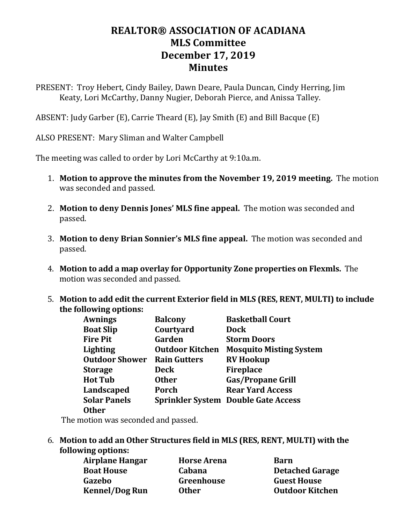## **REALTOR® ASSOCIATION OF ACADIANA MLS Committee December 17, 2019 Minutes**

PRESENT: Troy Hebert, Cindy Bailey, Dawn Deare, Paula Duncan, Cindy Herring, Jim Keaty, Lori McCarthy, Danny Nugier, Deborah Pierce, and Anissa Talley.

ABSENT: Judy Garber (E), Carrie Theard (E), Jay Smith (E) and Bill Bacque (E)

ALSO PRESENT: Mary Sliman and Walter Campbell

The meeting was called to order by Lori McCarthy at 9:10a.m.

- 1. **Motion to approve the minutes from the November 19, 2019 meeting.** The motion was seconded and passed.
- 2. **Motion to deny Dennis Jones' MLS fine appeal.** The motion was seconded and passed.
- 3. **Motion to deny Brian Sonnier's MLS fine appeal.** The motion was seconded and passed.
- 4. **Motion to add a map overlay for Opportunity Zone properties on Flexmls.** The motion was seconded and passed.
- 5. **Motion to add edit the current Exterior field in MLS (RES, RENT, MULTI) to include the following options:**

| <b>Balcony</b>         | <b>Basketball Court</b>                    |
|------------------------|--------------------------------------------|
| Courtyard              | <b>Dock</b>                                |
| Garden                 | <b>Storm Doors</b>                         |
| <b>Outdoor Kitchen</b> | <b>Mosquito Misting System</b>             |
| <b>Rain Gutters</b>    | <b>RV Hookup</b>                           |
| Deck                   | <b>Fireplace</b>                           |
| <b>Other</b>           | <b>Gas/Propane Grill</b>                   |
| Porch                  | <b>Rear Yard Access</b>                    |
|                        | <b>Sprinkler System Double Gate Access</b> |
|                        |                                            |
|                        |                                            |

The motion was seconded and passed.

6. **Motion to add an Other Structures field in MLS (RES, RENT, MULTI) with the following options:**

| <b>Airplane Hangar</b> |  |
|------------------------|--|
| <b>Boat House</b>      |  |
| Gazebo                 |  |
| <b>Kennel/Dog Run</b>  |  |

**Airplane Hangar Horse Arena Barn**

**Cabana Detached Garage Gazebo Greenhouse Guest House Other Outdoor Kitchen**